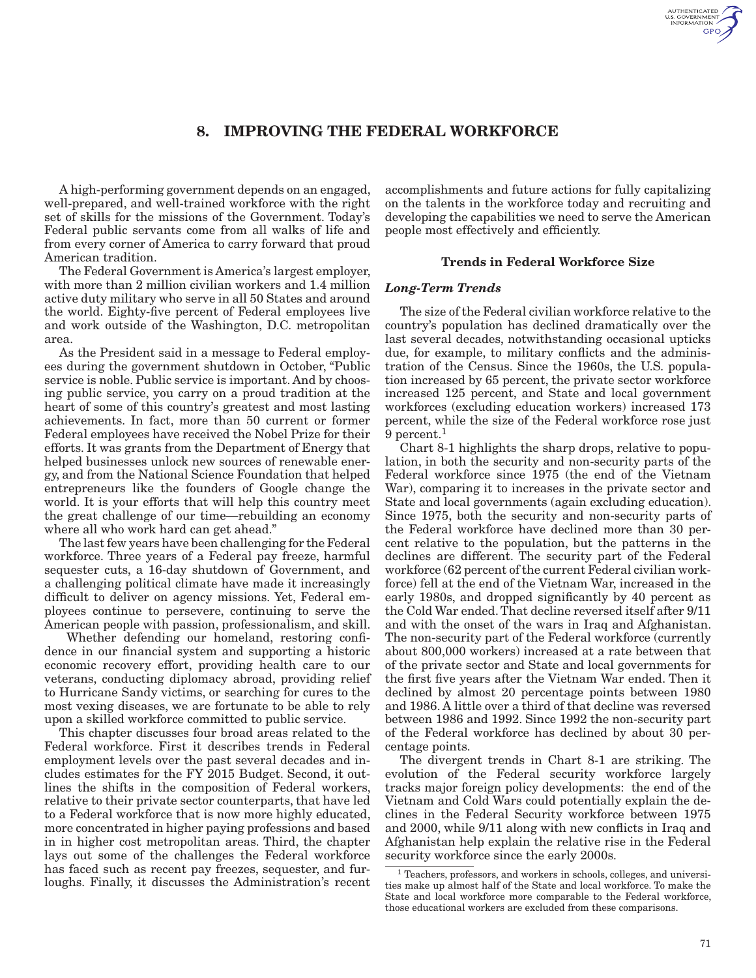# 8. IMPROVING THE FEDERAL WORKFORCE

A high-performing government depends on an engaged, well-prepared, and well-trained workforce with the right set of skills for the missions of the Government. Today's Federal public servants come from all walks of life and from every corner of America to carry forward that proud American tradition.

The Federal Government is America's largest employer, with more than 2 million civilian workers and 1.4 million active duty military who serve in all 50 States and around the world. Eighty-five percent of Federal employees live and work outside of the Washington, D.C. metropolitan area.

As the President said in a message to Federal employees during the government shutdown in October, "Public service is noble. Public service is important. And by choosing public service, you carry on a proud tradition at the heart of some of this country's greatest and most lasting achievements. In fact, more than 50 current or former Federal employees have received the Nobel Prize for their efforts. It was grants from the Department of Energy that helped businesses unlock new sources of renewable energy, and from the National Science Foundation that helped entrepreneurs like the founders of Google change the world. It is your efforts that will help this country meet the great challenge of our time—rebuilding an economy where all who work hard can get ahead."

The last few years have been challenging for the Federal workforce. Three years of a Federal pay freeze, harmful sequester cuts, a 16-day shutdown of Government, and a challenging political climate have made it increasingly difficult to deliver on agency missions. Yet, Federal employees continue to persevere, continuing to serve the American people with passion, professionalism, and skill.

 Whether defending our homeland, restoring confidence in our financial system and supporting a historic economic recovery effort, providing health care to our veterans, conducting diplomacy abroad, providing relief to Hurricane Sandy victims, or searching for cures to the most vexing diseases, we are fortunate to be able to rely upon a skilled workforce committed to public service.

This chapter discusses four broad areas related to the Federal workforce. First it describes trends in Federal employment levels over the past several decades and includes estimates for the FY 2015 Budget. Second, it outlines the shifts in the composition of Federal workers, relative to their private sector counterparts, that have led to a Federal workforce that is now more highly educated, more concentrated in higher paying professions and based in in higher cost metropolitan areas. Third, the chapter lays out some of the challenges the Federal workforce has faced such as recent pay freezes, sequester, and furloughs. Finally, it discusses the Administration's recent accomplishments and future actions for fully capitalizing on the talents in the workforce today and recruiting and developing the capabilities we need to serve the American people most effectively and efficiently.

## Trends in Federal Workforce Size

## *Long-Term Trends*

The size of the Federal civilian workforce relative to the country's population has declined dramatically over the last several decades, notwithstanding occasional upticks due, for example, to military conflicts and the administration of the Census. Since the 1960s, the U.S. population increased by 65 percent, the private sector workforce increased 125 percent, and State and local government workforces (excluding education workers) increased 173 percent, while the size of the Federal workforce rose just 9 percent. $1$ 

Chart 8-1 highlights the sharp drops, relative to population, in both the security and non-security parts of the Federal workforce since 1975 (the end of the Vietnam War), comparing it to increases in the private sector and State and local governments (again excluding education). Since 1975, both the security and non-security parts of the Federal workforce have declined more than 30 percent relative to the population, but the patterns in the declines are different. The security part of the Federal workforce (62 percent of the current Federal civilian workforce) fell at the end of the Vietnam War, increased in the early 1980s, and dropped significantly by 40 percent as the Cold War ended. That decline reversed itself after 9/11 and with the onset of the wars in Iraq and Afghanistan. The non-security part of the Federal workforce (currently about 800,000 workers) increased at a rate between that of the private sector and State and local governments for the first five years after the Vietnam War ended. Then it declined by almost 20 percentage points between 1980 and 1986. A little over a third of that decline was reversed between 1986 and 1992. Since 1992 the non-security part of the Federal workforce has declined by about 30 percentage points.

The divergent trends in Chart 8-1 are striking. The evolution of the Federal security workforce largely tracks major foreign policy developments: the end of the Vietnam and Cold Wars could potentially explain the declines in the Federal Security workforce between 1975 and 2000, while 9/11 along with new conflicts in Iraq and Afghanistan help explain the relative rise in the Federal security workforce since the early 2000s.

<sup>1</sup> Teachers, professors, and workers in schools, colleges, and universities make up almost half of the State and local workforce. To make the State and local workforce more comparable to the Federal workforce, those educational workers are excluded from these comparisons.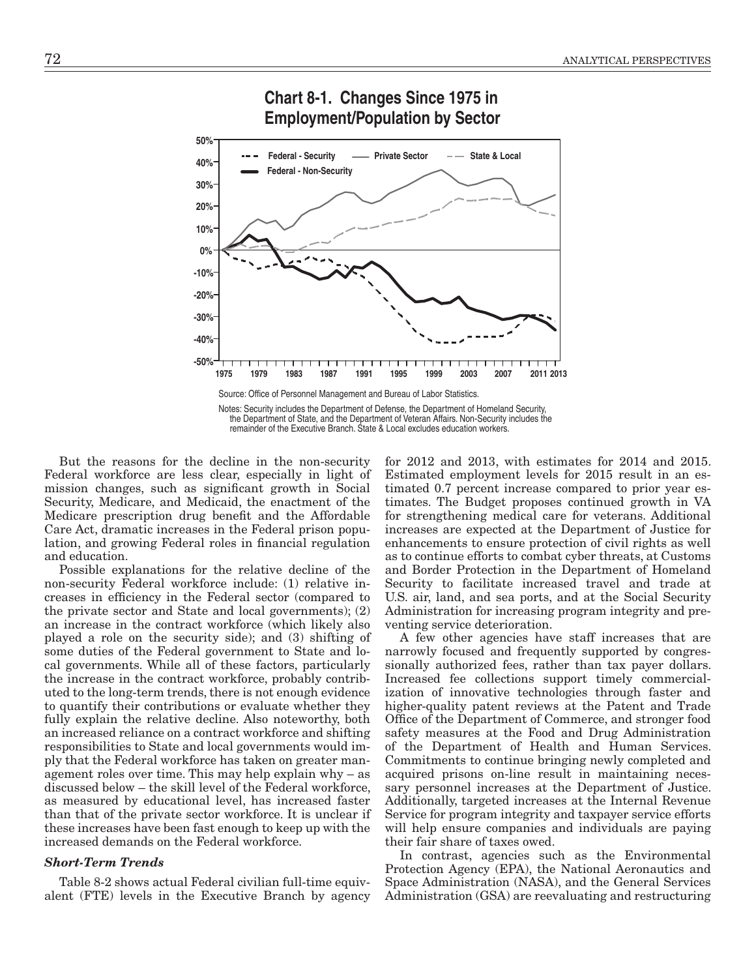

But the reasons for the decline in the non-security Federal workforce are less clear, especially in light of mission changes, such as significant growth in Social Security, Medicare, and Medicaid, the enactment of the Medicare prescription drug benefit and the Affordable Care Act, dramatic increases in the Federal prison population, and growing Federal roles in financial regulation and education.

Possible explanations for the relative decline of the non-security Federal workforce include: (1) relative increases in efficiency in the Federal sector (compared to the private sector and State and local governments); (2) an increase in the contract workforce (which likely also played a role on the security side); and (3) shifting of some duties of the Federal government to State and local governments. While all of these factors, particularly the increase in the contract workforce, probably contributed to the long-term trends, there is not enough evidence to quantify their contributions or evaluate whether they fully explain the relative decline. Also noteworthy, both an increased reliance on a contract workforce and shifting responsibilities to State and local governments would imply that the Federal workforce has taken on greater management roles over time. This may help explain why – as discussed below – the skill level of the Federal workforce, as measured by educational level, has increased faster than that of the private sector workforce. It is unclear if these increases have been fast enough to keep up with the increased demands on the Federal workforce.

### *Short-Term Trends*

Table 8-2 shows actual Federal civilian full-time equivalent (FTE) levels in the Executive Branch by agency

for 2012 and 2013, with estimates for 2014 and 2015. Estimated employment levels for 2015 result in an estimated 0.7 percent increase compared to prior year estimates. The Budget proposes continued growth in VA for strengthening medical care for veterans. Additional increases are expected at the Department of Justice for enhancements to ensure protection of civil rights as well as to continue efforts to combat cyber threats, at Customs and Border Protection in the Department of Homeland Security to facilitate increased travel and trade at U.S. air, land, and sea ports, and at the Social Security Administration for increasing program integrity and preventing service deterioration.

A few other agencies have staff increases that are narrowly focused and frequently supported by congressionally authorized fees, rather than tax payer dollars. Increased fee collections support timely commercialization of innovative technologies through faster and higher-quality patent reviews at the Patent and Trade Office of the Department of Commerce, and stronger food safety measures at the Food and Drug Administration of the Department of Health and Human Services. Commitments to continue bringing newly completed and acquired prisons on-line result in maintaining necessary personnel increases at the Department of Justice. Additionally, targeted increases at the Internal Revenue Service for program integrity and taxpayer service efforts will help ensure companies and individuals are paying their fair share of taxes owed.

In contrast, agencies such as the Environmental Protection Agency (EPA), the National Aeronautics and Space Administration (NASA), and the General Services Administration (GSA) are reevaluating and restructuring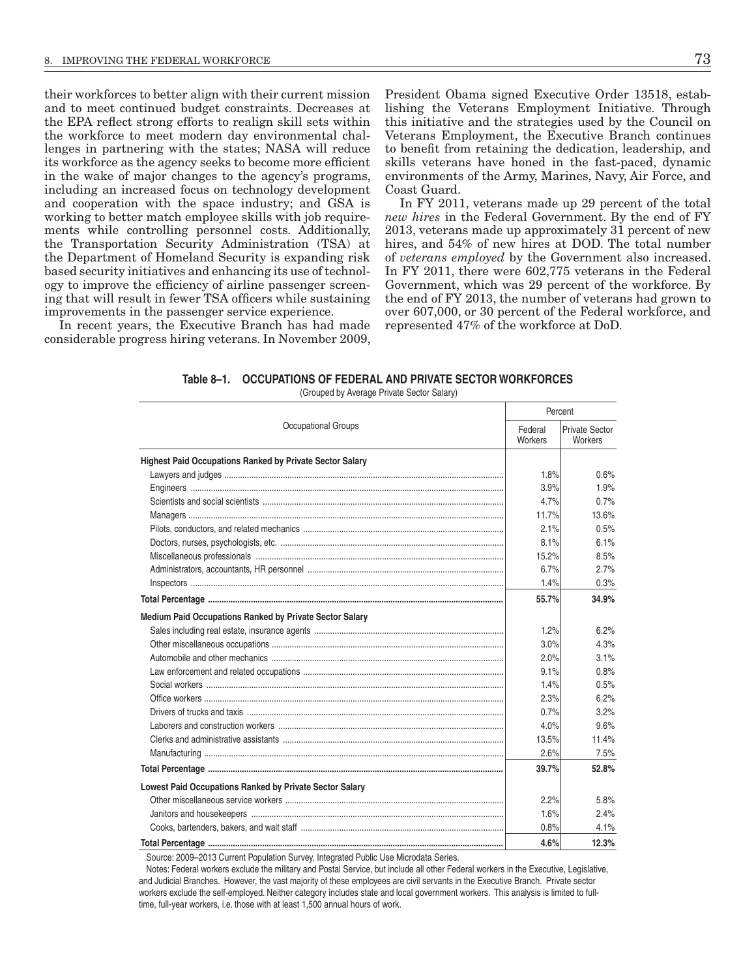their workforces to better align with their current mission and to meet continued budget constraints. Decreases at the EPA reflect strong efforts to realign skill sets within the workforce to meet modern day environmental challenges in partnering with the states; NASA will reduce its workforce as the agency seeks to become more efficient in the wake of major changes to the agency's programs, including an increased focus on technology development and cooperation with the space industry; and GSA is working to better match employee skills with job requirements while controlling personnel costs. Additionally, the Transportation Security Administration (TSA) at the Department of Homeland Security is expanding risk based security initiatives and enhancing its use of technology to improve the efficiency of airline passenger screening that will result in fewer TSA officers while sustaining improvements in the passenger service experience.

In recent years, the Executive Branch has had made considerable progress hiring veterans. In November 2009,

President Obama signed Executive Order 13518, establishing the Veterans Employment Initiative. Through this initiative and the strategies used by the Council on Veterans Employment, the Executive Branch continues to benefit from retaining the dedication, leadership, and skills veterans have honed in the fast-paced, dynamic environments of the Army, Marines, Navy, Air Force, and Coast Guard.

In FY 2011, veterans made up 29 percent of the total *new hires* in the Federal Government. By the end of FY 2013, veterans made up approximately 31 percent of new hires, and 54% of new hires at DOD. The total number of *veterans employed* by the Government also increased. In FY 2011, there were 602,775 veterans in the Federal Government, which was 29 percent of the workforce. By the end of FY 2013, the number of veterans had grown to over 607,000, or 30 percent of the Federal workforce, and represented 47% of the workforce at DoD.

| Table 8–1. OCCUPATIONS OF FEDERAL AND PRIVATE SECTOR WORKFORCES |
|-----------------------------------------------------------------|
|-----------------------------------------------------------------|

(Grouped by Average Private Sector Salary)

|                                                          | Percent |                           |  |
|----------------------------------------------------------|---------|---------------------------|--|
| Occupational Groups                                      |         | Private Sector<br>Workers |  |
| Highest Paid Occupations Ranked by Private Sector Salary |         |                           |  |
|                                                          | 1.8%    | 0.6%                      |  |
|                                                          | 3.9%    | 1.9%                      |  |
|                                                          | 4.7%    | 0.7%                      |  |
|                                                          | 11.7%   | 13.6%                     |  |
|                                                          | 2.1%    | 0.5%                      |  |
|                                                          | 8.1%    | 6.1%                      |  |
|                                                          | 15.2%   | 8.5%                      |  |
|                                                          | 6.7%    | 2.7%                      |  |
|                                                          | 1.4%    | 0.3%                      |  |
|                                                          | 55.7%   | 34.9%                     |  |
| Medium Paid Occupations Ranked by Private Sector Salary  |         |                           |  |
|                                                          | 1.2%    | 6.2%                      |  |
|                                                          | 3.0%    | 4.3%                      |  |
|                                                          | 2.0%    | 3.1%                      |  |
|                                                          | 9.1%    | 0.8%                      |  |
|                                                          | 1.4%    | 0.5%                      |  |
|                                                          | 2.3%    | 6.2%                      |  |
|                                                          | 0.7%    | 3.2%                      |  |
|                                                          | 4.0%    | 9.6%                      |  |
|                                                          | 13.5%   | 11.4%                     |  |
|                                                          | 2.6%    | 7.5%                      |  |
|                                                          | 39.7%   | 52.8%                     |  |
| Lowest Paid Occupations Ranked by Private Sector Salary  |         |                           |  |
|                                                          | 2.2%    | 5.8%                      |  |
|                                                          | 1.6%    | 2.4%                      |  |
|                                                          | 0.8%    | 4.1%                      |  |
|                                                          | 4.6%    | 12.3%                     |  |

Source: 2009–2013 Current Population Survey, Integrated Public Use Microdata Series.

Notes: Federal workers exclude the military and Postal Service, but include all other Federal workers in the Executive, Legislative, and Judicial Branches. However, the vast majority of these employees are civil servants in the Executive Branch. Private sector workers exclude the self-employed. Neither category includes state and local government workers. This analysis is limited to fulltime, full-year workers, i.e. those with at least 1,500 annual hours of work.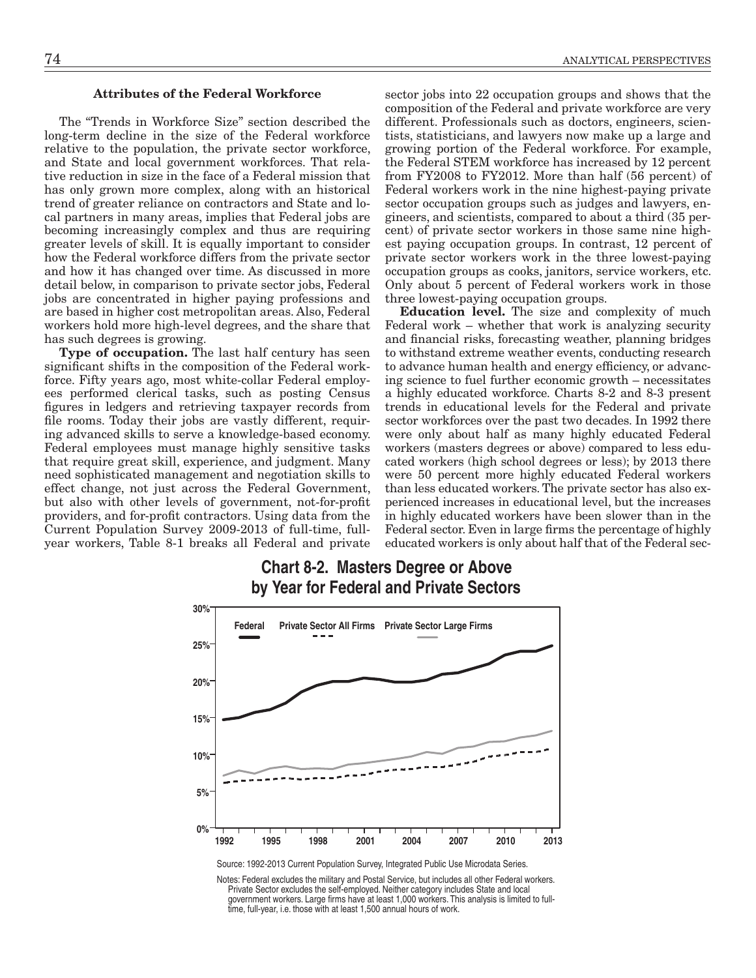## Attributes of the Federal Workforce

The "Trends in Workforce Size" section described the long-term decline in the size of the Federal workforce relative to the population, the private sector workforce, and State and local government workforces. That relative reduction in size in the face of a Federal mission that has only grown more complex, along with an historical trend of greater reliance on contractors and State and local partners in many areas, implies that Federal jobs are becoming increasingly complex and thus are requiring greater levels of skill. It is equally important to consider how the Federal workforce differs from the private sector and how it has changed over time. As discussed in more detail below, in comparison to private sector jobs, Federal jobs are concentrated in higher paying professions and are based in higher cost metropolitan areas. Also, Federal workers hold more high-level degrees, and the share that has such degrees is growing.

Type of occupation. The last half century has seen significant shifts in the composition of the Federal workforce. Fifty years ago, most white-collar Federal employees performed clerical tasks, such as posting Census figures in ledgers and retrieving taxpayer records from file rooms. Today their jobs are vastly different, requiring advanced skills to serve a knowledge-based economy. Federal employees must manage highly sensitive tasks that require great skill, experience, and judgment. Many need sophisticated management and negotiation skills to effect change, not just across the Federal Government, but also with other levels of government, not-for-profit providers, and for-profit contractors. Using data from the Current Population Survey 2009-2013 of full-time, fullyear workers, Table 8-1 breaks all Federal and private sector jobs into 22 occupation groups and shows that the composition of the Federal and private workforce are very different. Professionals such as doctors, engineers, scientists, statisticians, and lawyers now make up a large and growing portion of the Federal workforce. For example, the Federal STEM workforce has increased by 12 percent from FY2008 to FY2012. More than half (56 percent) of Federal workers work in the nine highest-paying private sector occupation groups such as judges and lawyers, engineers, and scientists, compared to about a third (35 percent) of private sector workers in those same nine highest paying occupation groups. In contrast, 12 percent of private sector workers work in the three lowest-paying occupation groups as cooks, janitors, service workers, etc. Only about 5 percent of Federal workers work in those three lowest-paying occupation groups.

Education level. The size and complexity of much Federal work – whether that work is analyzing security and financial risks, forecasting weather, planning bridges to withstand extreme weather events, conducting research to advance human health and energy efficiency, or advancing science to fuel further economic growth – necessitates a highly educated workforce. Charts 8-2 and 8-3 present trends in educational levels for the Federal and private sector workforces over the past two decades. In 1992 there were only about half as many highly educated Federal workers (masters degrees or above) compared to less educated workers (high school degrees or less); by 2013 there were 50 percent more highly educated Federal workers than less educated workers. The private sector has also experienced increases in educational level, but the increases in highly educated workers have been slower than in the Federal sector. Even in large firms the percentage of highly educated workers is only about half that of the Federal sec-



Notes: Federal excludes the military and Postal Service, but includes all other Federal workers.

Private Sector excludes the self-employed. Neither category includes State and local government workers. Large firms have at least 1,000 workers. This analysis is limited to fulltime, full-year, i.e. those with at least 1,500 annual hours of work.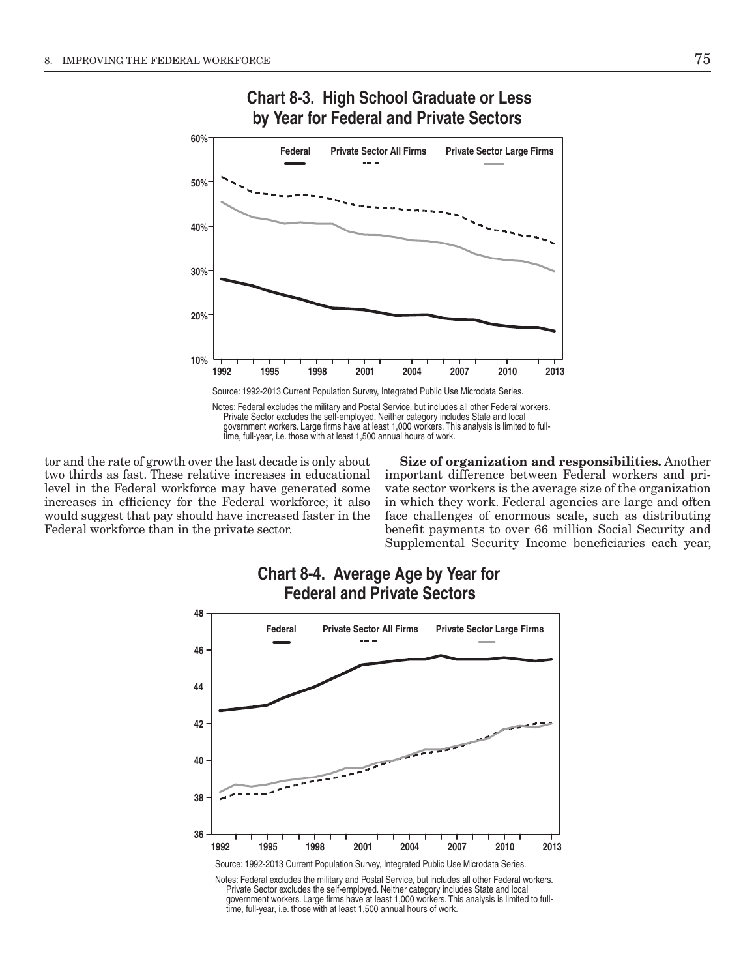

# **Chart 8-3. High School Graduate or Less by Year for Federal and Private Sectors**

tor and the rate of growth over the last decade is only about two thirds as fast. These relative increases in educational level in the Federal workforce may have generated some increases in efficiency for the Federal workforce; it also would suggest that pay should have increased faster in the Federal workforce than in the private sector.

Size of organization and responsibilities. Another important difference between Federal workers and private sector workers is the average size of the organization in which they work. Federal agencies are large and often face challenges of enormous scale, such as distributing benefit payments to over 66 million Social Security and Supplemental Security Income beneficiaries each year,



time, full-year, i.e. those with at least 1,500 annual hours of work.

# **Chart 8-4. Average Age by Year for Federal and Private Sectors**

time, full-year, i.e. those with at least 1,500 annual hours of work.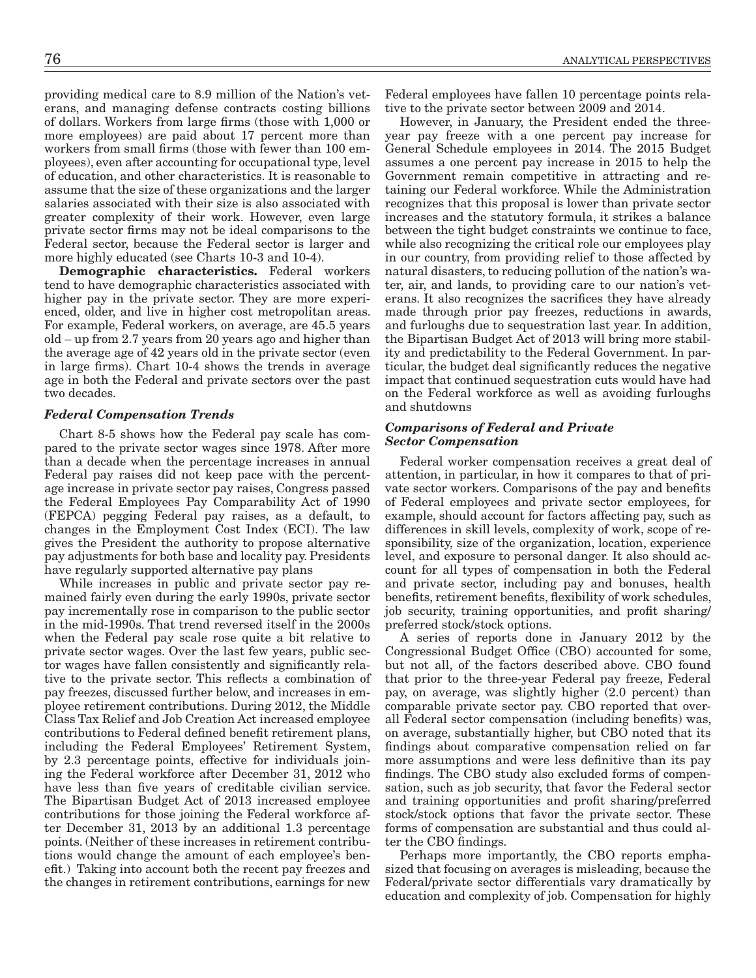providing medical care to 8.9 million of the Nation's veterans, and managing defense contracts costing billions of dollars. Workers from large firms (those with 1,000 or more employees) are paid about 17 percent more than workers from small firms (those with fewer than 100 employees), even after accounting for occupational type, level of education, and other characteristics. It is reasonable to assume that the size of these organizations and the larger salaries associated with their size is also associated with greater complexity of their work. However, even large private sector firms may not be ideal comparisons to the Federal sector, because the Federal sector is larger and more highly educated (see Charts 10-3 and 10-4).

Demographic characteristics. Federal workers tend to have demographic characteristics associated with higher pay in the private sector. They are more experienced, older, and live in higher cost metropolitan areas. For example, Federal workers, on average, are 45.5 years old – up from 2.7 years from 20 years ago and higher than the average age of 42 years old in the private sector (even in large firms). Chart 10-4 shows the trends in average age in both the Federal and private sectors over the past two decades.

## *Federal Compensation Trends*

Chart 8-5 shows how the Federal pay scale has compared to the private sector wages since 1978. After more than a decade when the percentage increases in annual Federal pay raises did not keep pace with the percentage increase in private sector pay raises, Congress passed the Federal Employees Pay Comparability Act of 1990 (FEPCA) pegging Federal pay raises, as a default, to changes in the Employment Cost Index (ECI). The law gives the President the authority to propose alternative pay adjustments for both base and locality pay. Presidents have regularly supported alternative pay plans

While increases in public and private sector pay remained fairly even during the early 1990s, private sector pay incrementally rose in comparison to the public sector in the mid-1990s. That trend reversed itself in the 2000s when the Federal pay scale rose quite a bit relative to private sector wages. Over the last few years, public sector wages have fallen consistently and significantly relative to the private sector. This reflects a combination of pay freezes, discussed further below, and increases in employee retirement contributions. During 2012, the Middle Class Tax Relief and Job Creation Act increased employee contributions to Federal defined benefit retirement plans, including the Federal Employees' Retirement System, by 2.3 percentage points, effective for individuals joining the Federal workforce after December 31, 2012 who have less than five years of creditable civilian service. The Bipartisan Budget Act of 2013 increased employee contributions for those joining the Federal workforce after December 31, 2013 by an additional 1.3 percentage points. (Neither of these increases in retirement contributions would change the amount of each employee's benefit.) Taking into account both the recent pay freezes and the changes in retirement contributions, earnings for new

Federal employees have fallen 10 percentage points relative to the private sector between 2009 and 2014.

However, in January, the President ended the threeyear pay freeze with a one percent pay increase for General Schedule employees in 2014. The 2015 Budget assumes a one percent pay increase in 2015 to help the Government remain competitive in attracting and retaining our Federal workforce. While the Administration recognizes that this proposal is lower than private sector increases and the statutory formula, it strikes a balance between the tight budget constraints we continue to face, while also recognizing the critical role our employees play in our country, from providing relief to those affected by natural disasters, to reducing pollution of the nation's water, air, and lands, to providing care to our nation's veterans. It also recognizes the sacrifices they have already made through prior pay freezes, reductions in awards, and furloughs due to sequestration last year. In addition, the Bipartisan Budget Act of 2013 will bring more stability and predictability to the Federal Government. In particular, the budget deal significantly reduces the negative impact that continued sequestration cuts would have had on the Federal workforce as well as avoiding furloughs and shutdowns

## *Comparisons of Federal and Private Sector Compensation*

Federal worker compensation receives a great deal of attention, in particular, in how it compares to that of private sector workers. Comparisons of the pay and benefits of Federal employees and private sector employees, for example, should account for factors affecting pay, such as differences in skill levels, complexity of work, scope of responsibility, size of the organization, location, experience level, and exposure to personal danger. It also should account for all types of compensation in both the Federal and private sector, including pay and bonuses, health benefits, retirement benefits, flexibility of work schedules, job security, training opportunities, and profit sharing/ preferred stock/stock options.

A series of reports done in January 2012 by the Congressional Budget Office (CBO) accounted for some, but not all, of the factors described above. CBO found that prior to the three-year Federal pay freeze, Federal pay, on average, was slightly higher (2.0 percent) than comparable private sector pay. CBO reported that overall Federal sector compensation (including benefits) was, on average, substantially higher, but CBO noted that its findings about comparative compensation relied on far more assumptions and were less definitive than its pay findings. The CBO study also excluded forms of compensation, such as job security, that favor the Federal sector and training opportunities and profit sharing/preferred stock/stock options that favor the private sector. These forms of compensation are substantial and thus could alter the CBO findings.

Perhaps more importantly, the CBO reports emphasized that focusing on averages is misleading, because the Federal/private sector differentials vary dramatically by education and complexity of job. Compensation for highly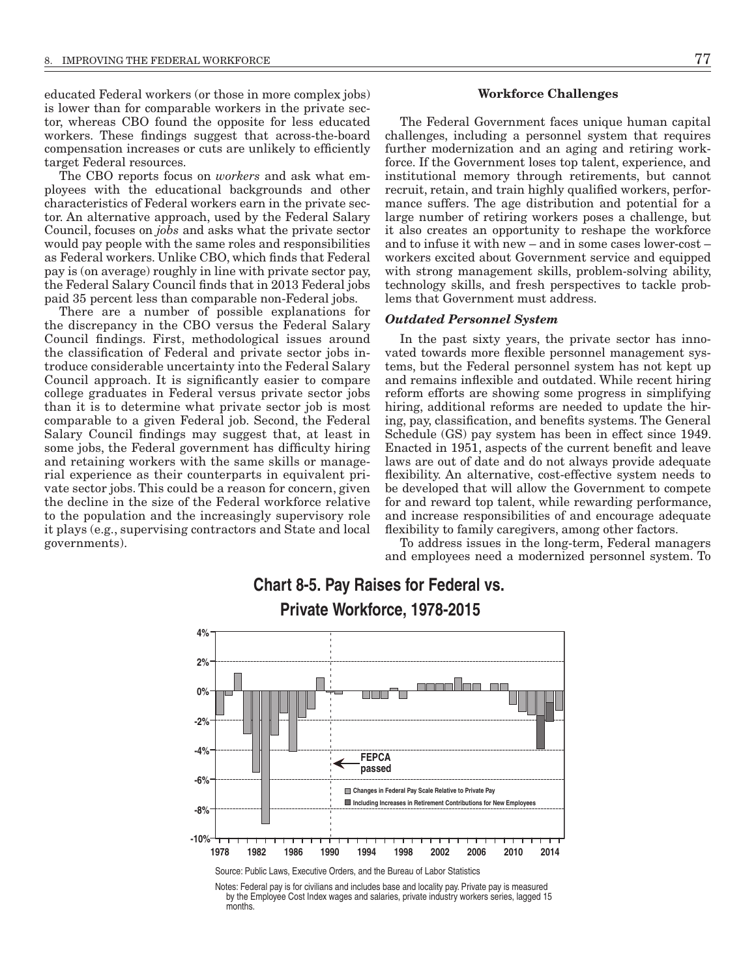educated Federal workers (or those in more complex jobs) is lower than for comparable workers in the private sector, whereas CBO found the opposite for less educated workers. These findings suggest that across-the-board compensation increases or cuts are unlikely to efficiently target Federal resources.

The CBO reports focus on *workers* and ask what employees with the educational backgrounds and other characteristics of Federal workers earn in the private sector. An alternative approach, used by the Federal Salary Council, focuses on *jobs* and asks what the private sector would pay people with the same roles and responsibilities as Federal workers. Unlike CBO, which finds that Federal pay is (on average) roughly in line with private sector pay, the Federal Salary Council finds that in 2013 Federal jobs paid 35 percent less than comparable non-Federal jobs.

There are a number of possible explanations for the discrepancy in the CBO versus the Federal Salary Council findings. First, methodological issues around the classification of Federal and private sector jobs introduce considerable uncertainty into the Federal Salary Council approach. It is significantly easier to compare college graduates in Federal versus private sector jobs than it is to determine what private sector job is most comparable to a given Federal job. Second, the Federal Salary Council findings may suggest that, at least in some jobs, the Federal government has difficulty hiring and retaining workers with the same skills or managerial experience as their counterparts in equivalent private sector jobs. This could be a reason for concern, given the decline in the size of the Federal workforce relative to the population and the increasingly supervisory role it plays (e.g., supervising contractors and State and local governments).

#### Workforce Challenges

The Federal Government faces unique human capital challenges, including a personnel system that requires further modernization and an aging and retiring workforce. If the Government loses top talent, experience, and institutional memory through retirements, but cannot recruit, retain, and train highly qualified workers, performance suffers. The age distribution and potential for a large number of retiring workers poses a challenge, but it also creates an opportunity to reshape the workforce and to infuse it with new – and in some cases lower-cost – workers excited about Government service and equipped with strong management skills, problem-solving ability, technology skills, and fresh perspectives to tackle problems that Government must address.

#### *Outdated Personnel System*

In the past sixty years, the private sector has innovated towards more flexible personnel management systems, but the Federal personnel system has not kept up and remains inflexible and outdated. While recent hiring reform efforts are showing some progress in simplifying hiring, additional reforms are needed to update the hiring, pay, classification, and benefits systems. The General Schedule (GS) pay system has been in effect since 1949. Enacted in 1951, aspects of the current benefit and leave laws are out of date and do not always provide adequate flexibility. An alternative, cost-effective system needs to be developed that will allow the Government to compete for and reward top talent, while rewarding performance, and increase responsibilities of and encourage adequate flexibility to family caregivers, among other factors.

To address issues in the long-term, Federal managers and employees need a modernized personnel system. To



**Chart 8-5. Pay Raises for Federal vs.** 

Notes: Federal pay is for civilians and includes base and locality pay. Private pay is measured by the Employee Cost Index wages and salaries, private industry workers series, lagged 15 months.

Source: Public Laws, Executive Orders, and the Bureau of Labor Statistics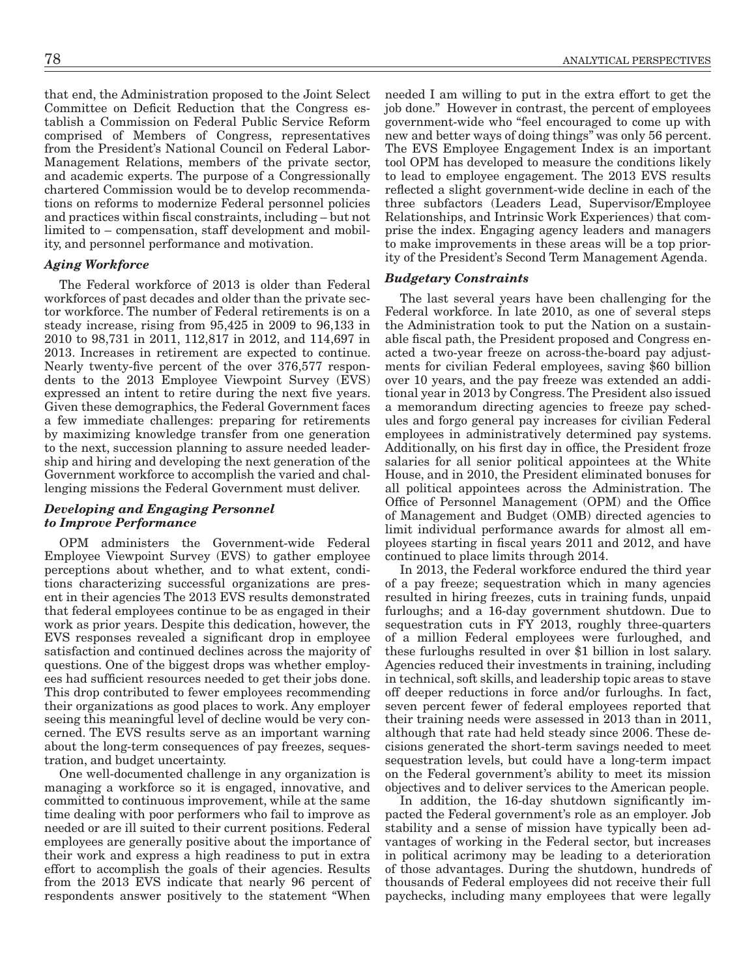that end, the Administration proposed to the Joint Select Committee on Deficit Reduction that the Congress establish a Commission on Federal Public Service Reform comprised of Members of Congress, representatives from the President's National Council on Federal Labor-Management Relations, members of the private sector, and academic experts. The purpose of a Congressionally chartered Commission would be to develop recommendations on reforms to modernize Federal personnel policies and practices within fiscal constraints, including – but not limited to – compensation, staff development and mobil-

## *Aging Workforce*

The Federal workforce of 2013 is older than Federal workforces of past decades and older than the private sector workforce. The number of Federal retirements is on a steady increase, rising from 95,425 in 2009 to 96,133 in 2010 to 98,731 in 2011, 112,817 in 2012, and 114,697 in 2013. Increases in retirement are expected to continue. Nearly twenty-five percent of the over 376,577 respondents to the 2013 Employee Viewpoint Survey (EVS) expressed an intent to retire during the next five years. Given these demographics, the Federal Government faces a few immediate challenges: preparing for retirements by maximizing knowledge transfer from one generation to the next, succession planning to assure needed leadership and hiring and developing the next generation of the Government workforce to accomplish the varied and challenging missions the Federal Government must deliver.

ity, and personnel performance and motivation.

## *Developing and Engaging Personnel to Improve Performance*

OPM administers the Government-wide Federal Employee Viewpoint Survey (EVS) to gather employee perceptions about whether, and to what extent, conditions characterizing successful organizations are present in their agencies The 2013 EVS results demonstrated that federal employees continue to be as engaged in their work as prior years. Despite this dedication, however, the EVS responses revealed a significant drop in employee satisfaction and continued declines across the majority of questions. One of the biggest drops was whether employees had sufficient resources needed to get their jobs done. This drop contributed to fewer employees recommending their organizations as good places to work. Any employer seeing this meaningful level of decline would be very concerned. The EVS results serve as an important warning about the long-term consequences of pay freezes, sequestration, and budget uncertainty.

One well-documented challenge in any organization is managing a workforce so it is engaged, innovative, and committed to continuous improvement, while at the same time dealing with poor performers who fail to improve as needed or are ill suited to their current positions. Federal employees are generally positive about the importance of their work and express a high readiness to put in extra effort to accomplish the goals of their agencies. Results from the 2013 EVS indicate that nearly 96 percent of respondents answer positively to the statement "When

needed I am willing to put in the extra effort to get the job done." However in contrast, the percent of employees government-wide who "feel encouraged to come up with new and better ways of doing things" was only 56 percent. The EVS Employee Engagement Index is an important tool OPM has developed to measure the conditions likely to lead to employee engagement. The 2013 EVS results reflected a slight government-wide decline in each of the three subfactors (Leaders Lead, Supervisor/Employee Relationships, and Intrinsic Work Experiences) that comprise the index. Engaging agency leaders and managers to make improvements in these areas will be a top priority of the President's Second Term Management Agenda.

### *Budgetary Constraints*

The last several years have been challenging for the Federal workforce. In late 2010, as one of several steps the Administration took to put the Nation on a sustainable fiscal path, the President proposed and Congress enacted a two-year freeze on across-the-board pay adjustments for civilian Federal employees, saving \$60 billion over 10 years, and the pay freeze was extended an additional year in 2013 by Congress. The President also issued a memorandum directing agencies to freeze pay schedules and forgo general pay increases for civilian Federal employees in administratively determined pay systems. Additionally, on his first day in office, the President froze salaries for all senior political appointees at the White House, and in 2010, the President eliminated bonuses for all political appointees across the Administration. The Office of Personnel Management (OPM) and the Office of Management and Budget (OMB) directed agencies to limit individual performance awards for almost all employees starting in fiscal years 2011 and 2012, and have continued to place limits through 2014.

In 2013, the Federal workforce endured the third year of a pay freeze; sequestration which in many agencies resulted in hiring freezes, cuts in training funds, unpaid furloughs; and a 16-day government shutdown. Due to sequestration cuts in FY 2013, roughly three-quarters of a million Federal employees were furloughed, and these furloughs resulted in over \$1 billion in lost salary. Agencies reduced their investments in training, including in technical, soft skills, and leadership topic areas to stave off deeper reductions in force and/or furloughs. In fact, seven percent fewer of federal employees reported that their training needs were assessed in 2013 than in 2011, although that rate had held steady since 2006. These decisions generated the short-term savings needed to meet sequestration levels, but could have a long-term impact on the Federal government's ability to meet its mission objectives and to deliver services to the American people.

In addition, the 16-day shutdown significantly impacted the Federal government's role as an employer. Job stability and a sense of mission have typically been advantages of working in the Federal sector, but increases in political acrimony may be leading to a deterioration of those advantages. During the shutdown, hundreds of thousands of Federal employees did not receive their full paychecks, including many employees that were legally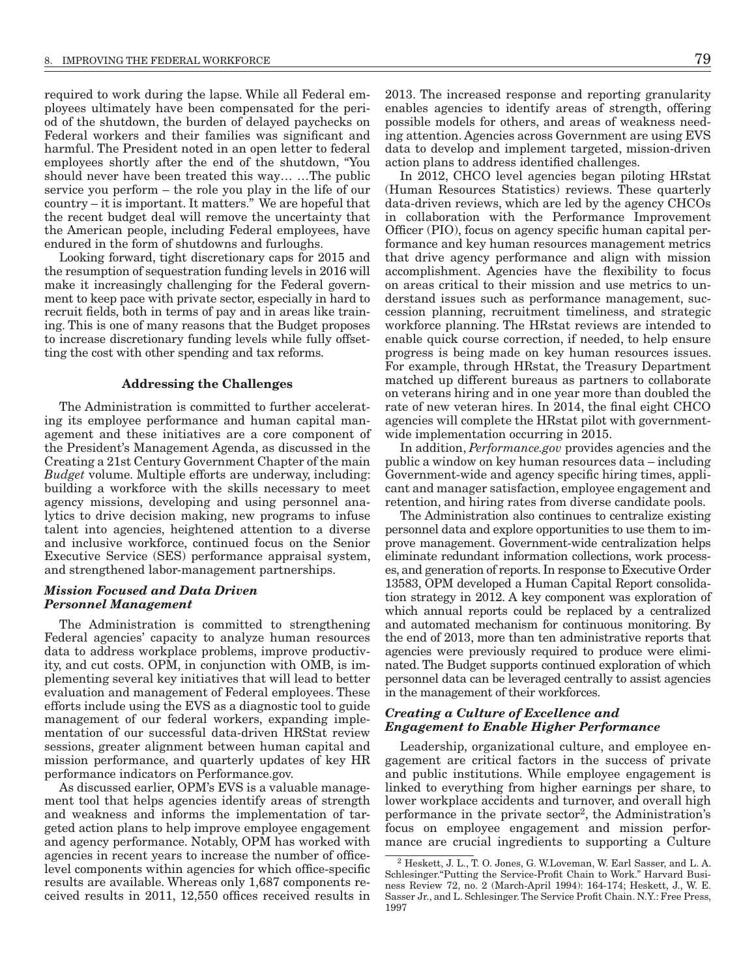required to work during the lapse. While all Federal employees ultimately have been compensated for the period of the shutdown, the burden of delayed paychecks on Federal workers and their families was significant and harmful. The President noted in an open letter to federal employees shortly after the end of the shutdown, "You should never have been treated this way… …The public service you perform – the role you play in the life of our country – it is important. It matters." We are hopeful that the recent budget deal will remove the uncertainty that the American people, including Federal employees, have endured in the form of shutdowns and furloughs.

Looking forward, tight discretionary caps for 2015 and the resumption of sequestration funding levels in 2016 will make it increasingly challenging for the Federal government to keep pace with private sector, especially in hard to recruit fields, both in terms of pay and in areas like training. This is one of many reasons that the Budget proposes to increase discretionary funding levels while fully offsetting the cost with other spending and tax reforms.

#### Addressing the Challenges

The Administration is committed to further accelerating its employee performance and human capital management and these initiatives are a core component of the President's Management Agenda, as discussed in the Creating a 21st Century Government Chapter of the main *Budget* volume. Multiple efforts are underway, including: building a workforce with the skills necessary to meet agency missions, developing and using personnel analytics to drive decision making, new programs to infuse talent into agencies, heightened attention to a diverse and inclusive workforce, continued focus on the Senior Executive Service (SES) performance appraisal system, and strengthened labor-management partnerships.

## *Mission Focused and Data Driven Personnel Management*

The Administration is committed to strengthening Federal agencies' capacity to analyze human resources data to address workplace problems, improve productivity, and cut costs. OPM, in conjunction with OMB, is implementing several key initiatives that will lead to better evaluation and management of Federal employees. These efforts include using the EVS as a diagnostic tool to guide management of our federal workers, expanding implementation of our successful data-driven HRStat review sessions, greater alignment between human capital and mission performance, and quarterly updates of key HR performance indicators on Performance.gov.

As discussed earlier, OPM's EVS is a valuable management tool that helps agencies identify areas of strength and weakness and informs the implementation of targeted action plans to help improve employee engagement and agency performance. Notably, OPM has worked with agencies in recent years to increase the number of officelevel components within agencies for which office-specific results are available. Whereas only 1,687 components received results in 2011, 12,550 offices received results in

2013. The increased response and reporting granularity enables agencies to identify areas of strength, offering possible models for others, and areas of weakness needing attention. Agencies across Government are using EVS data to develop and implement targeted, mission-driven action plans to address identified challenges.

In 2012, CHCO level agencies began piloting HRstat (Human Resources Statistics) reviews. These quarterly data-driven reviews, which are led by the agency CHCOs in collaboration with the Performance Improvement Officer (PIO), focus on agency specific human capital performance and key human resources management metrics that drive agency performance and align with mission accomplishment. Agencies have the flexibility to focus on areas critical to their mission and use metrics to understand issues such as performance management, succession planning, recruitment timeliness, and strategic workforce planning. The HRstat reviews are intended to enable quick course correction, if needed, to help ensure progress is being made on key human resources issues. For example, through HRstat, the Treasury Department matched up different bureaus as partners to collaborate on veterans hiring and in one year more than doubled the rate of new veteran hires. In 2014, the final eight CHCO agencies will complete the HRstat pilot with governmentwide implementation occurring in 2015.

In addition, *Performance.gov* provides agencies and the public a window on key human resources data – including Government-wide and agency specific hiring times, applicant and manager satisfaction, employee engagement and retention, and hiring rates from diverse candidate pools.

The Administration also continues to centralize existing personnel data and explore opportunities to use them to improve management. Government-wide centralization helps eliminate redundant information collections, work processes, and generation of reports. In response to Executive Order 13583, OPM developed a Human Capital Report consolidation strategy in 2012. A key component was exploration of which annual reports could be replaced by a centralized and automated mechanism for continuous monitoring. By the end of 2013, more than ten administrative reports that agencies were previously required to produce were eliminated. The Budget supports continued exploration of which personnel data can be leveraged centrally to assist agencies in the management of their workforces.

### *Creating a Culture of Excellence and Engagement to Enable Higher Performance*

Leadership, organizational culture, and employee engagement are critical factors in the success of private and public institutions. While employee engagement is linked to everything from higher earnings per share, to lower workplace accidents and turnover, and overall high performance in the private sector<sup>2</sup>, the Administration's focus on employee engagement and mission performance are crucial ingredients to supporting a Culture

<sup>2</sup> Heskett, J. L., T. O. Jones, G. W.Loveman, W. Earl Sasser, and L. A. Schlesinger."Putting the Service-Profit Chain to Work." Harvard Business Review 72, no. 2 (March-April 1994): 164-174; Heskett, J., W. E. Sasser Jr., and L. Schlesinger. The Service Profit Chain. N.Y.: Free Press, 1997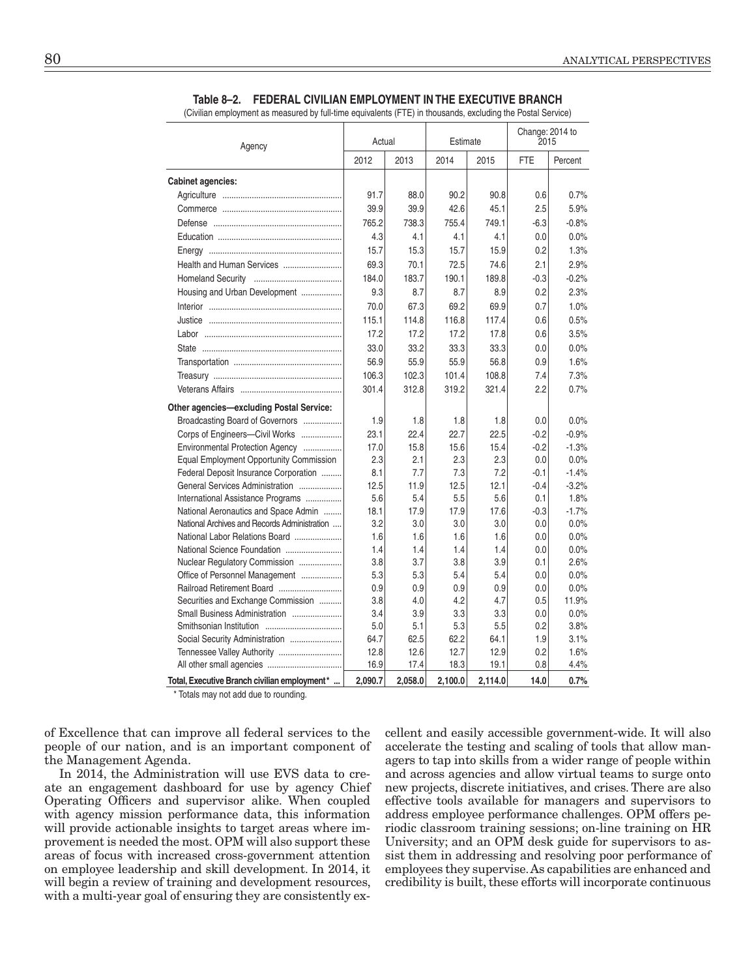| Agency                                                                           | Actual     |            | Estimate   |            | Change: 2014 to<br>2015 |                 |
|----------------------------------------------------------------------------------|------------|------------|------------|------------|-------------------------|-----------------|
|                                                                                  | 2012       | 2013       | 2014       | 2015       | <b>FTE</b>              | Percent         |
| <b>Cabinet agencies:</b>                                                         |            |            |            |            |                         |                 |
|                                                                                  | 91.7       | 88.0       | 90.2       | 90.8       | 0.6                     | 0.7%            |
|                                                                                  | 39.9       | 39.9       | 42.6       | 45.1       | 2.5                     | 5.9%            |
|                                                                                  | 765.2      | 738.3      | 755.4      | 749.1      | $-6.3$                  | $-0.8%$         |
|                                                                                  | 4.3        | 4.1        | 4.1        | 4.1        | 0.0                     | 0.0%            |
|                                                                                  | 15.7       | 15.3       | 15.7       | 15.9       | 0.2                     | 1.3%            |
|                                                                                  | 69.3       | 70.1       | 72.5       | 74.6       | 2.1                     | 2.9%            |
|                                                                                  | 184.0      | 183.7      | 190.1      | 189.8      | $-0.3$                  | $-0.2%$         |
| Housing and Urban Development                                                    | 9.3        | 8.7        | 8.7        | 8.9        | 0.2                     | 2.3%            |
|                                                                                  | 70.0       | 67.3       | 69.2       | 69.9       | 0.7                     | 1.0%            |
|                                                                                  | 115.1      | 114.8      | 116.8      | 117.4      | 0.6                     | 0.5%            |
|                                                                                  | 17.2       | 17.2       | 17.2       | 17.8       | 0.6                     | 3.5%            |
|                                                                                  | 33.0       | 33.2       | 33.3       | 33.3       | 0.0                     | 0.0%            |
|                                                                                  | 56.9       | 55.9       | 55.9       | 56.8       | 0.9                     | 1.6%            |
|                                                                                  | 106.3      | 102.3      | 101.4      | 108.8      | 7.4                     | 7.3%            |
|                                                                                  | 301.4      | 312.8      | 319.2      | 321.4      | 2.2                     | 0.7%            |
|                                                                                  |            |            |            |            |                         |                 |
| Other agencies-excluding Postal Service:                                         |            |            |            |            |                         |                 |
| Broadcasting Board of Governors                                                  | 1.9        | 1.8        | 1.8        | 1.8        | 0.0                     | 0.0%            |
| Corps of Engineers-Civil Works                                                   | 23.1       | 22.4       | 22.7       | 22.5       | $-0.2$                  | $-0.9%$         |
| Environmental Protection Agency                                                  | 17.0       | 15.8       | 15.6       | 15.4       | $-0.2$                  | $-1.3%$         |
| Equal Employment Opportunity Commission<br>Federal Deposit Insurance Corporation | 2.3<br>8.1 | 2.1<br>7.7 | 2.3<br>7.3 | 2.3<br>7.2 | 0.0<br>$-0.1$           | 0.0%<br>$-1.4%$ |
| General Services Administration                                                  | 12.5       | 11.9       | 12.5       | 12.1       | $-0.4$                  | $-3.2%$         |
| International Assistance Programs                                                | 5.6        | 5.4        | 5.5        | 5.6        | 0.1                     | 1.8%            |
| National Aeronautics and Space Admin                                             | 18.1       | 17.9       | 17.9       | 17.6       | $-0.3$                  | $-1.7%$         |
| National Archives and Records Administration                                     | 3.2        | 3.0        | 3.0        | 3.0        | 0.0                     | 0.0%            |
| National Labor Relations Board                                                   | 1.6        | 1.6        | 1.6        | 1.6        | 0.0                     | 0.0%            |
| National Science Foundation                                                      | 1.4        | 1.4        | 1.4        | 1.4        | 0.0                     | 0.0%            |
| Nuclear Regulatory Commission                                                    | 3.8        | 3.7        | 3.8        | 3.9        | 0.1                     | 2.6%            |
| Office of Personnel Management                                                   | 5.3        | 5.3        | 5.4        | 5.4        | 0.0                     | 0.0%            |
|                                                                                  | 0.9        | 0.9        | 0.9        | 0.9        | 0.0                     | 0.0%            |
| Securities and Exchange Commission                                               | 3.8        | 4.0        | 4.2        | 4.7        | 0.5                     | 11.9%           |
| Small Business Administration                                                    | 3.4        | 3.9        | 3.3        | 3.3        | 0.0                     | 0.0%            |
|                                                                                  | 5.0        | 5.1        | 5.3        | 5.5        | 0.2                     | 3.8%            |
| Social Security Administration                                                   | 64.7       | 62.5       | 62.2       | 64.1       | 1.9                     | 3.1%            |
| Tennessee Valley Authority                                                       | 12.8       | 12.6       | 12.7       | 12.9       | 0.2                     | 1.6%            |
|                                                                                  | 16.9       | 17.4       | 18.3       | 19.1       | 0.8                     | 4.4%            |
| Total, Executive Branch civilian employment*                                     | 2.090.7    | 2.058.0    | 2,100.0    | 2,114.0    | 14.0                    | 0.7%            |

**Table 8–2. FEDERAL CIVILIAN EMPLOYMENT IN THE EXECUTIVE BRANCH**

(Civilian employment as measured by full-time equivalents (FTE) in thousands, excluding the Postal Service)

\* Totals may not add due to rounding.

of Excellence that can improve all federal services to the people of our nation, and is an important component of the Management Agenda.

In 2014, the Administration will use EVS data to create an engagement dashboard for use by agency Chief Operating Officers and supervisor alike. When coupled with agency mission performance data, this information will provide actionable insights to target areas where improvement is needed the most. OPM will also support these areas of focus with increased cross-government attention on employee leadership and skill development. In 2014, it will begin a review of training and development resources, with a multi-year goal of ensuring they are consistently ex-

cellent and easily accessible government-wide. It will also accelerate the testing and scaling of tools that allow managers to tap into skills from a wider range of people within and across agencies and allow virtual teams to surge onto new projects, discrete initiatives, and crises. There are also effective tools available for managers and supervisors to address employee performance challenges. OPM offers periodic classroom training sessions; on-line training on HR University; and an OPM desk guide for supervisors to assist them in addressing and resolving poor performance of employees they supervise. As capabilities are enhanced and credibility is built, these efforts will incorporate continuous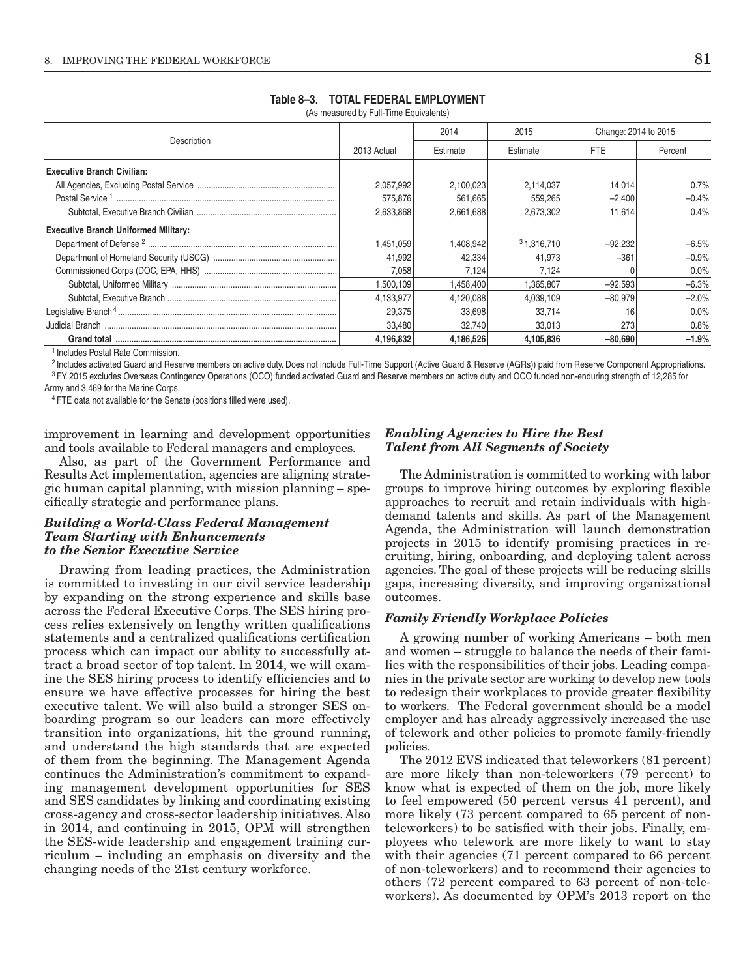|                                             |             | 2014      | 2015       | Change: 2014 to 2015 |         |
|---------------------------------------------|-------------|-----------|------------|----------------------|---------|
| Description                                 | 2013 Actual | Estimate  | Estimate   | FTE                  | Percent |
| <b>Executive Branch Civilian:</b>           |             |           |            |                      |         |
|                                             | 2,057,992   | 2,100,023 | 2,114,037  | 14.014               | 0.7%    |
|                                             | 575.876     | 561.665   | 559.265    | $-2.400$             | $-0.4%$ |
|                                             | 2.633.868   | 2,661,688 | 2.673.302  | 11.614               | 0.4%    |
| <b>Executive Branch Uniformed Military:</b> |             |           |            |                      |         |
|                                             | 1,451,059   | 1.408.942 | 31,316,710 | $-92,232$            | $-6.5%$ |
|                                             | 41,992      | 42.334    | 41.973     | $-361$               | $-0.9%$ |
|                                             | 7.058       | 7.124     | 7.124      |                      | 0.0%    |
|                                             | 1,500,109   | 1,458,400 | .365,807   | $-92.593$            | $-6.3%$ |
|                                             | 4,133,977   | 4,120,088 | 4,039,109  | $-80,979$            | $-2.0%$ |
|                                             | 29,375      | 33.698    | 33.714     | 16                   | 0.0%    |
|                                             | 33,480      | 32,740    | 33.013     | 273                  | 0.8%    |
|                                             | 4,196,832   | 4,186,526 | 4,105,836  | $-80.690$            | $-1.9%$ |

**Table 8–3. TOTAL FEDERAL EMPLOYMENT** (As measured by Full-Time Equivalents)

1 Includes Postal Rate Commission.

<sup>2</sup> Includes activated Guard and Reserve members on active duty. Does not include Full-Time Support (Active Guard & Reserve (AGRs)) paid from Reserve Component Appropriations. <sup>3</sup> FY 2015 excludes Overseas Contingency Operations (OCO) funded activated Guard and Reserve members on active duty and OCO funded non-enduring strength of 12,285 for Army and 3,469 for the Marine Corps.

4 FTE data not available for the Senate (positions filled were used).

improvement in learning and development opportunities and tools available to Federal managers and employees.

Also, as part of the Government Performance and Results Act implementation, agencies are aligning strategic human capital planning, with mission planning – specifically strategic and performance plans.

### *Building a World-Class Federal Management Team Starting with Enhancements to the Senior Executive Service*

Drawing from leading practices, the Administration is committed to investing in our civil service leadership by expanding on the strong experience and skills base across the Federal Executive Corps. The SES hiring process relies extensively on lengthy written qualifications statements and a centralized qualifications certification process which can impact our ability to successfully attract a broad sector of top talent. In 2014, we will examine the SES hiring process to identify efficiencies and to ensure we have effective processes for hiring the best executive talent. We will also build a stronger SES onboarding program so our leaders can more effectively transition into organizations, hit the ground running, and understand the high standards that are expected of them from the beginning. The Management Agenda continues the Administration's commitment to expanding management development opportunities for SES and SES candidates by linking and coordinating existing cross-agency and cross-sector leadership initiatives. Also in 2014, and continuing in 2015, OPM will strengthen the SES-wide leadership and engagement training curriculum – including an emphasis on diversity and the changing needs of the 21st century workforce.

## *Enabling Agencies to Hire the Best Talent from All Segments of Society*

The Administration is committed to working with labor groups to improve hiring outcomes by exploring flexible approaches to recruit and retain individuals with highdemand talents and skills. As part of the Management Agenda, the Administration will launch demonstration projects in 2015 to identify promising practices in recruiting, hiring, onboarding, and deploying talent across agencies. The goal of these projects will be reducing skills gaps, increasing diversity, and improving organizational outcomes.

#### *Family Friendly Workplace Policies*

A growing number of working Americans – both men and women – struggle to balance the needs of their families with the responsibilities of their jobs. Leading companies in the private sector are working to develop new tools to redesign their workplaces to provide greater flexibility to workers. The Federal government should be a model employer and has already aggressively increased the use of telework and other policies to promote family-friendly policies.

The 2012 EVS indicated that teleworkers (81 percent) are more likely than non-teleworkers (79 percent) to know what is expected of them on the job, more likely to feel empowered (50 percent versus 41 percent), and more likely (73 percent compared to 65 percent of nonteleworkers) to be satisfied with their jobs. Finally, employees who telework are more likely to want to stay with their agencies (71 percent compared to 66 percent of non-teleworkers) and to recommend their agencies to others (72 percent compared to 63 percent of non-teleworkers). As documented by OPM's 2013 report on the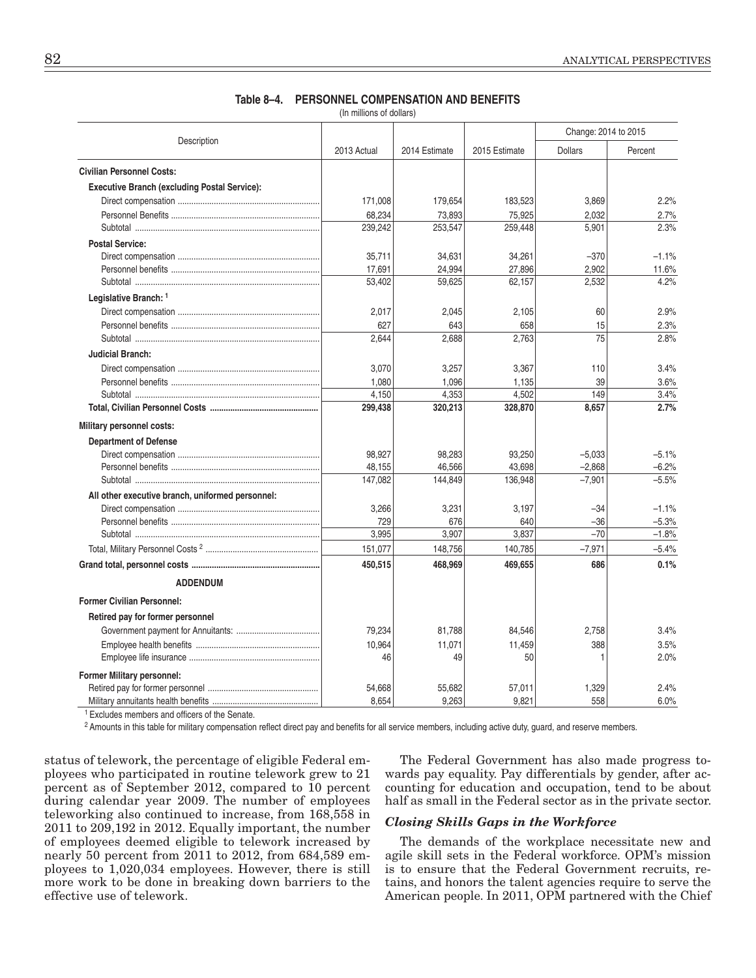|                                                     |             |               |               | Change: 2014 to 2015 |         |
|-----------------------------------------------------|-------------|---------------|---------------|----------------------|---------|
| Description                                         | 2013 Actual | 2014 Estimate | 2015 Estimate | <b>Dollars</b>       | Percent |
| <b>Civilian Personnel Costs:</b>                    |             |               |               |                      |         |
| <b>Executive Branch (excluding Postal Service):</b> |             |               |               |                      |         |
|                                                     | 171,008     | 179,654       | 183,523       | 3,869                | 2.2%    |
|                                                     | 68,234      | 73,893        | 75,925        | 2,032                | 2.7%    |
|                                                     | 239,242     | 253,547       | 259,448       | 5,901                | 2.3%    |
| <b>Postal Service:</b>                              |             |               |               |                      |         |
|                                                     | 35,711      | 34,631        | 34,261        | $-370$               | $-1.1%$ |
|                                                     | 17,691      | 24,994        | 27,896        | 2,902                | 11.6%   |
|                                                     | 53,402      | 59,625        | 62,157        | 2,532                | 4.2%    |
| Legislative Branch: 1                               |             |               |               |                      |         |
|                                                     | 2,017       | 2,045         | 2,105         | 60                   | 2.9%    |
|                                                     | 627         | 643           | 658           | 15                   | 2.3%    |
|                                                     | 2,644       | 2,688         | 2,763         | 75                   | 2.8%    |
| <b>Judicial Branch:</b>                             |             |               |               |                      |         |
|                                                     | 3,070       | 3,257         | 3,367         | 110                  | 3.4%    |
|                                                     | 1.080       | 1,096         | 1,135         | 39                   | 3.6%    |
|                                                     | 4,150       | 4,353         | 4.502         | 149                  | 3.4%    |
|                                                     | 299,438     | 320,213       | 328,870       | 8,657                | 2.7%    |
| Military personnel costs:                           |             |               |               |                      |         |
| <b>Department of Defense</b>                        |             |               |               |                      |         |
|                                                     | 98,927      | 98,283        | 93,250        | $-5,033$             | $-5.1%$ |
|                                                     | 48,155      | 46,566        | 43,698        | $-2,868$             | $-6.2%$ |
|                                                     | 147,082     | 144,849       | 136,948       | $-7,901$             | $-5.5%$ |
| All other executive branch, uniformed personnel:    |             |               |               |                      |         |
|                                                     | 3,266       | 3,231         | 3,197         | $-34$                | $-1.1%$ |
|                                                     | 729         | 676           | 640           | $-36$                | $-5.3%$ |
|                                                     | 3,995       | 3,907         | 3,837         | $-70$                | $-1.8%$ |
|                                                     | 151,077     | 148,756       | 140,785       | $-7,971$             | $-5.4%$ |
|                                                     | 450,515     | 468,969       | 469,655       | 686                  | 0.1%    |
| <b>ADDENDUM</b>                                     |             |               |               |                      |         |
| <b>Former Civilian Personnel:</b>                   |             |               |               |                      |         |
| Retired pay for former personnel                    |             |               |               |                      |         |
|                                                     | 79,234      | 81.788        | 84,546        | 2.758                | 3.4%    |
|                                                     | 10.964      | 11.071        | 11,459        | 388                  | 3.5%    |
|                                                     | 46          | 49            | 50            |                      | 2.0%    |
| Former Military personnel:                          |             |               |               |                      |         |
|                                                     | 54,668      | 55,682        | 57,011        | 1,329                | 2.4%    |
|                                                     | 8,654       | 9,263         | 9,821         | 558                  | 6.0%    |

### **Table 8–4. PERSONNEL COMPENSATION AND BENEFITS** (In millions of dollars)

1 Excludes members and officers of the Senate.

<sup>2</sup> Amounts in this table for military compensation reflect direct pay and benefits for all service members, including active duty, guard, and reserve members.

status of telework, the percentage of eligible Federal employees who participated in routine telework grew to 21 percent as of September 2012, compared to 10 percent during calendar year 2009. The number of employees teleworking also continued to increase, from 168,558 in 2011 to 209,192 in 2012. Equally important, the number of employees deemed eligible to telework increased by nearly 50 percent from 2011 to 2012, from 684,589 employees to 1,020,034 employees. However, there is still more work to be done in breaking down barriers to the effective use of telework.

The Federal Government has also made progress towards pay equality. Pay differentials by gender, after accounting for education and occupation, tend to be about half as small in the Federal sector as in the private sector.

## *Closing Skills Gaps in the Workforce*

The demands of the workplace necessitate new and agile skill sets in the Federal workforce. OPM's mission is to ensure that the Federal Government recruits, retains, and honors the talent agencies require to serve the American people. In 2011, OPM partnered with the Chief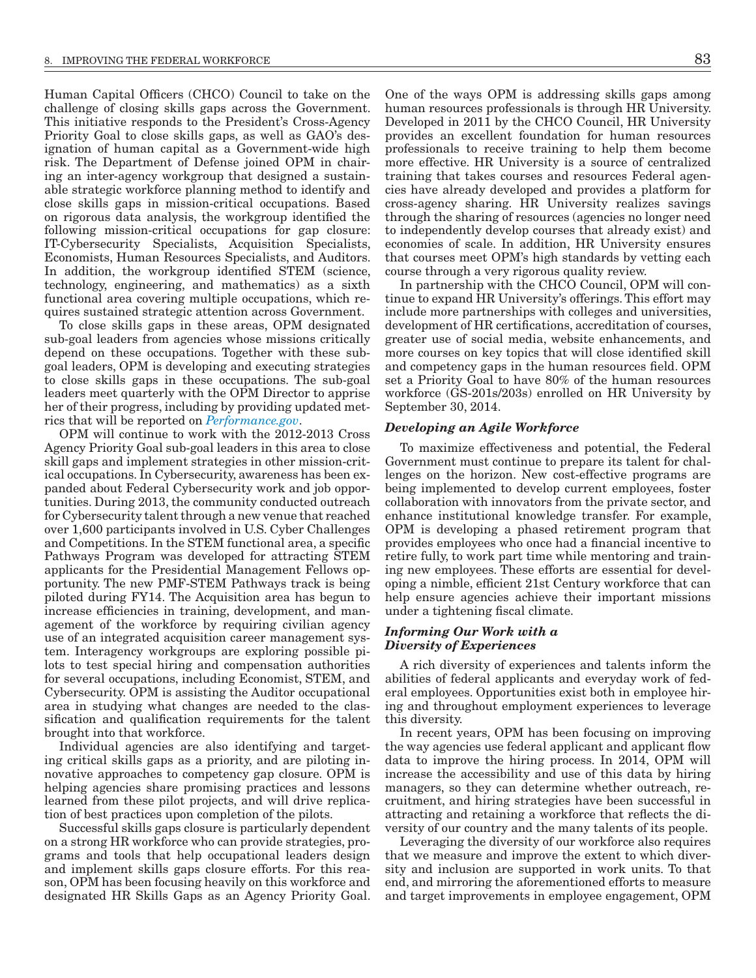Human Capital Officers (CHCO) Council to take on the challenge of closing skills gaps across the Government. This initiative responds to the President's Cross-Agency Priority Goal to close skills gaps, as well as GAO's designation of human capital as a Government-wide high risk. The Department of Defense joined OPM in chairing an inter-agency workgroup that designed a sustainable strategic workforce planning method to identify and close skills gaps in mission-critical occupations. Based on rigorous data analysis, the workgroup identified the following mission-critical occupations for gap closure: IT-Cybersecurity Specialists, Acquisition Specialists, Economists, Human Resources Specialists, and Auditors. In addition, the workgroup identified STEM (science, technology, engineering, and mathematics) as a sixth functional area covering multiple occupations, which requires sustained strategic attention across Government.

To close skills gaps in these areas, OPM designated sub-goal leaders from agencies whose missions critically depend on these occupations. Together with these subgoal leaders, OPM is developing and executing strategies to close skills gaps in these occupations. The sub-goal leaders meet quarterly with the OPM Director to apprise her of their progress, including by providing updated metrics that will be reported on *[Performance.gov](http://www.performance.gov)*.

OPM will continue to work with the 2012-2013 Cross Agency Priority Goal sub-goal leaders in this area to close skill gaps and implement strategies in other mission-critical occupations. In Cybersecurity, awareness has been expanded about Federal Cybersecurity work and job opportunities. During 2013, the community conducted outreach for Cybersecurity talent through a new venue that reached over 1,600 participants involved in U.S. Cyber Challenges and Competitions. In the STEM functional area, a specific Pathways Program was developed for attracting STEM applicants for the Presidential Management Fellows opportunity. The new PMF-STEM Pathways track is being piloted during FY14. The Acquisition area has begun to increase efficiencies in training, development, and management of the workforce by requiring civilian agency use of an integrated acquisition career management system. Interagency workgroups are exploring possible pilots to test special hiring and compensation authorities for several occupations, including Economist, STEM, and Cybersecurity. OPM is assisting the Auditor occupational area in studying what changes are needed to the classification and qualification requirements for the talent brought into that workforce.

Individual agencies are also identifying and targeting critical skills gaps as a priority, and are piloting innovative approaches to competency gap closure. OPM is helping agencies share promising practices and lessons learned from these pilot projects, and will drive replication of best practices upon completion of the pilots.

Successful skills gaps closure is particularly dependent on a strong HR workforce who can provide strategies, programs and tools that help occupational leaders design and implement skills gaps closure efforts. For this reason, OPM has been focusing heavily on this workforce and designated HR Skills Gaps as an Agency Priority Goal.

One of the ways OPM is addressing skills gaps among human resources professionals is through HR University. Developed in 2011 by the CHCO Council, HR University provides an excellent foundation for human resources professionals to receive training to help them become more effective. HR University is a source of centralized training that takes courses and resources Federal agencies have already developed and provides a platform for cross-agency sharing. HR University realizes savings through the sharing of resources (agencies no longer need to independently develop courses that already exist) and economies of scale. In addition, HR University ensures that courses meet OPM's high standards by vetting each course through a very rigorous quality review.

In partnership with the CHCO Council, OPM will continue to expand HR University's offerings. This effort may include more partnerships with colleges and universities, development of HR certifications, accreditation of courses, greater use of social media, website enhancements, and more courses on key topics that will close identified skill and competency gaps in the human resources field. OPM set a Priority Goal to have 80% of the human resources workforce (GS-201s/203s) enrolled on HR University by September 30, 2014.

# *Developing an Agile Workforce*

To maximize effectiveness and potential, the Federal Government must continue to prepare its talent for challenges on the horizon. New cost-effective programs are being implemented to develop current employees, foster collaboration with innovators from the private sector, and enhance institutional knowledge transfer. For example, OPM is developing a phased retirement program that provides employees who once had a financial incentive to retire fully, to work part time while mentoring and training new employees. These efforts are essential for developing a nimble, efficient 21st Century workforce that can help ensure agencies achieve their important missions under a tightening fiscal climate.

#### *Informing Our Work with a Diversity of Experiences*

A rich diversity of experiences and talents inform the abilities of federal applicants and everyday work of federal employees. Opportunities exist both in employee hiring and throughout employment experiences to leverage this diversity.

In recent years, OPM has been focusing on improving the way agencies use federal applicant and applicant flow data to improve the hiring process. In 2014, OPM will increase the accessibility and use of this data by hiring managers, so they can determine whether outreach, recruitment, and hiring strategies have been successful in attracting and retaining a workforce that reflects the diversity of our country and the many talents of its people.

Leveraging the diversity of our workforce also requires that we measure and improve the extent to which diversity and inclusion are supported in work units. To that end, and mirroring the aforementioned efforts to measure and target improvements in employee engagement, OPM